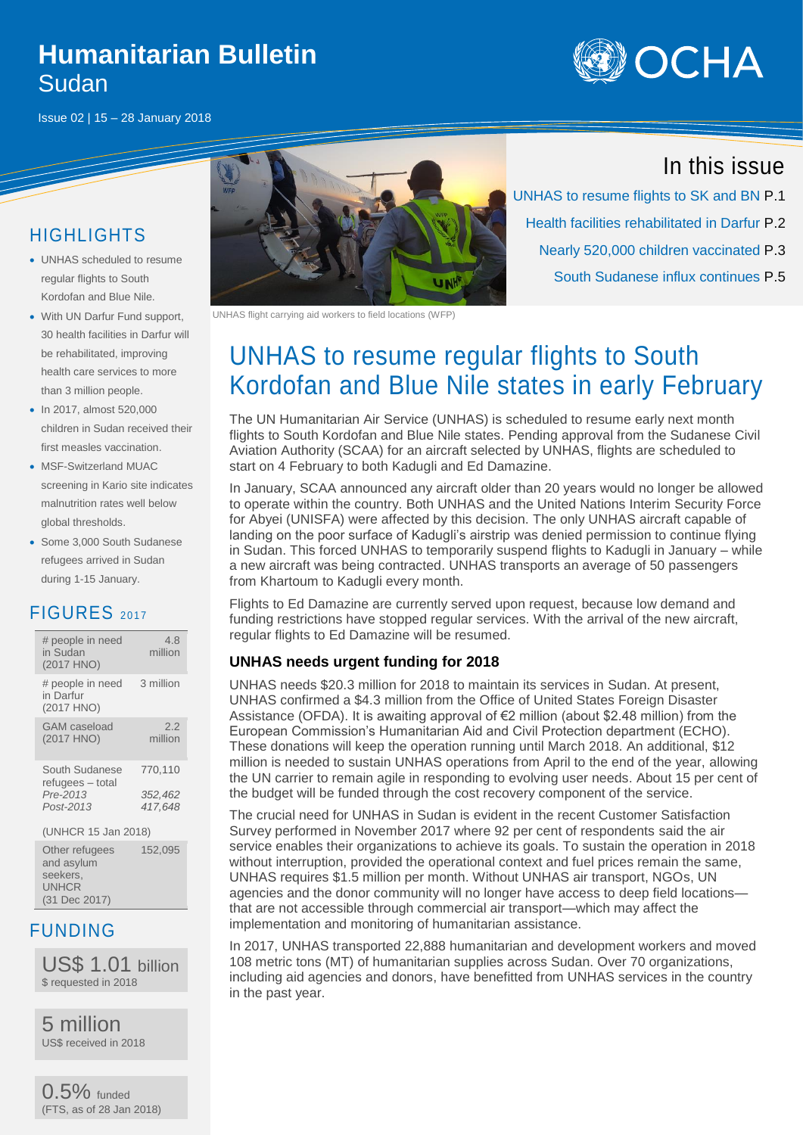### **Humanitarian Bulletin** Sudan





### HIGHLIGHTS

- UNHAS scheduled to resume regular flights to South Kordofan and Blue Nile.
- With UN Darfur Fund support, 30 health facilities in Darfur will be rehabilitated, improving health care services to more than 3 million people.
- In 2017, almost 520,000 children in Sudan received their first measles vaccination.
- MSF-Switzerland MUAC screening in Kario site indicates malnutrition rates well below global thresholds.
- Some 3,000 South Sudanese refugees arrived in Sudan during 1-15 January.

#### FIGURES <sup>2017</sup>

| # people in need<br>in Sudan<br>(2017 HNO)                  | 4.8<br>million                |
|-------------------------------------------------------------|-------------------------------|
| # people in need<br>in Darfur<br>(2017 HNO)                 | 3 million                     |
| GAM caseload<br>(2017 HNO)                                  | 2.2<br>million                |
| South Sudanese<br>refugees - total<br>Pre-2013<br>Post-2013 | 770.110<br>352,462<br>417.648 |
| (UNHCR 15 Jan 2018)                                         |                               |

Other refugees and asylum seekers, **UNHCR** (31 Dec 2017) 152,095

#### FUNDING

US\$ 1.01 billion \$ requested in 2018

5 million US\$ received in 2018

0.5% funded (FTS, as of 28 Jan 2018)



UNHAS flight carrying aid workers to field locations (WFP)

# UNHAS to resume regular flights to South Kordofan and Blue Nile states in early February

The UN Humanitarian Air Service (UNHAS) is scheduled to resume early next month flights to South Kordofan and Blue Nile states. Pending approval from the Sudanese Civil Aviation Authority (SCAA) for an aircraft selected by UNHAS, flights are scheduled to start on 4 February to both Kadugli and Ed Damazine.

In January, SCAA announced any aircraft older than 20 years would no longer be allowed to operate within the country. Both UNHAS and the United Nations Interim Security Force for Abyei (UNISFA) were affected by this decision. The only UNHAS aircraft capable of landing on the poor surface of Kadugli's airstrip was denied permission to continue flying in Sudan. This forced UNHAS to temporarily suspend flights to Kadugli in January – while a new aircraft was being contracted. UNHAS transports an average of 50 passengers from Khartoum to Kadugli every month.

Flights to Ed Damazine are currently served upon request, because low demand and funding restrictions have stopped regular services. With the arrival of the new aircraft, regular flights to Ed Damazine will be resumed.

#### **UNHAS needs urgent funding for 2018**

UNHAS needs \$20.3 million for 2018 to maintain its services in Sudan. At present, UNHAS confirmed a \$4.3 million from the Office of United States Foreign Disaster Assistance (OFDA). It is awaiting approval of  $E$ 2 million (about \$2.48 million) from the European Commission's Humanitarian Aid and Civil Protection department (ECHO). These donations will keep the operation running until March 2018. An additional, \$12 million is needed to sustain UNHAS operations from April to the end of the year, allowing the UN carrier to remain agile in responding to evolving user needs. About 15 per cent of the budget will be funded through the cost recovery component of the service.

The crucial need for UNHAS in Sudan is evident in the recent Customer Satisfaction Survey performed in November 2017 where 92 per cent of respondents said the air service enables their organizations to achieve its goals. To sustain the operation in 2018 without interruption, provided the operational context and fuel prices remain the same, UNHAS requires \$1.5 million per month. Without UNHAS air transport, NGOs, UN agencies and the donor community will no longer have access to deep field locations that are not accessible through commercial air transport—which may affect the implementation and monitoring of humanitarian assistance.

In 2017, UNHAS transported 22,888 humanitarian and development workers and moved 108 metric tons (MT) of humanitarian supplies across Sudan. Over 70 organizations, including aid agencies and donors, have benefitted from UNHAS services in the country in the past year.

### In this issue

UNHAS to resume flights to SK and BN P.1 Health facilities rehabilitated in Darfur P.2 Nearly 520,000 children vaccinated P.3 South Sudanese influx continues P.5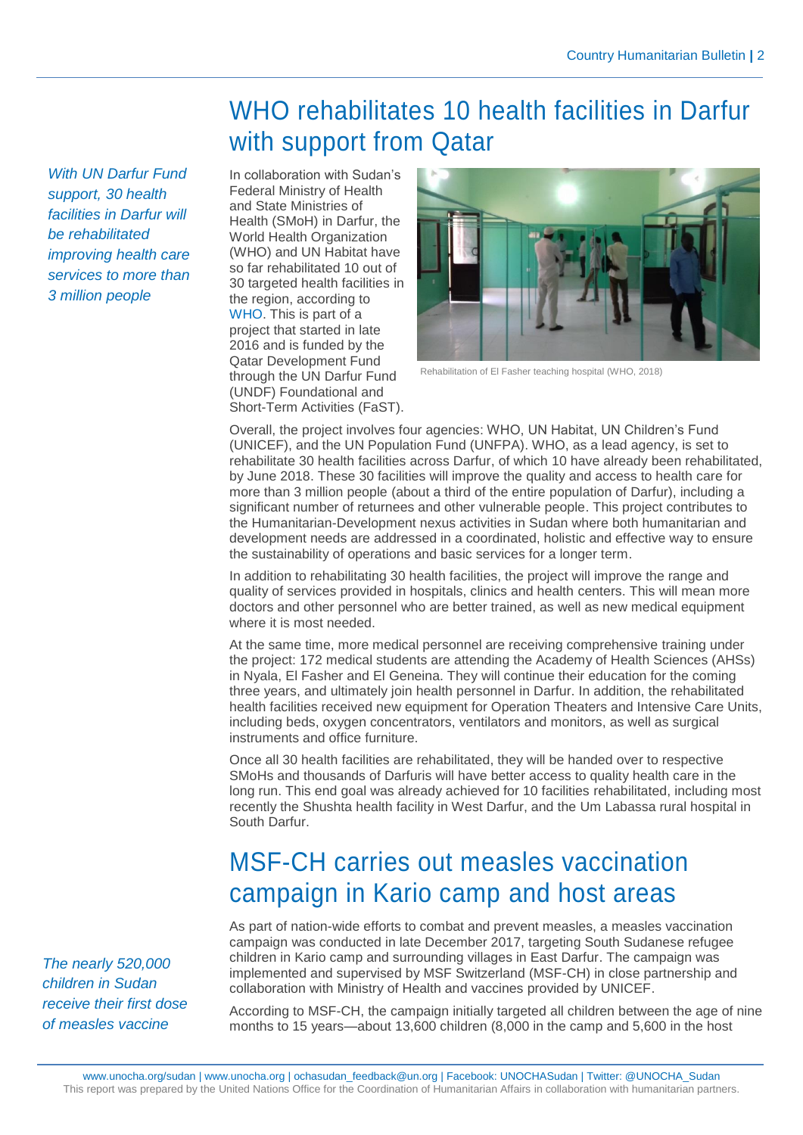## WHO rehabilitates 10 health facilities in Darfur with support from Qatar

*With UN Darfur Fund support, 30 health facilities in Darfur will be rehabilitated improving health care services to more than 3 million people*

In collaboration with Sudan's Federal Ministry of Health and State Ministries of Health (SMoH) in Darfur, the World Health Organization (WHO) and UN Habitat have so far rehabilitated 10 out of 30 targeted health facilities in the region, according to [WHO.](http://www.emro.who.int/sdn/sudan-infocus/who-supports-darfur-health-facilities-rehabilitation-3-million-people-to-receive-better-access-to-care.html) This is part of a project that started in late 2016 and is funded by the Qatar Development Fund through the UN Darfur Fund (UNDF) Foundational and Short-Term Activities (FaST).



Rehabilitation of El Fasher teaching hospital (WHO, 2018)

Overall, the project involves four agencies: WHO, UN Habitat, UN Children's Fund (UNICEF), and the UN Population Fund (UNFPA). WHO, as a lead agency, is set to rehabilitate 30 health facilities across Darfur, of which 10 have already been rehabilitated, by June 2018. These 30 facilities will improve the quality and access to health care for more than 3 million people (about a third of the entire population of Darfur), including a significant number of returnees and other vulnerable people. This project contributes to the Humanitarian-Development nexus activities in Sudan where both humanitarian and development needs are addressed in a coordinated, holistic and effective way to ensure the sustainability of operations and basic services for a longer term.

In addition to rehabilitating 30 health facilities, the project will improve the range and quality of services provided in hospitals, clinics and health centers. This will mean more doctors and other personnel who are better trained, as well as new medical equipment where it is most needed.

At the same time, more medical personnel are receiving comprehensive training under the project: 172 medical students are attending the Academy of Health Sciences (AHSs) in Nyala, El Fasher and El Geneina. They will continue their education for the coming three years, and ultimately join health personnel in Darfur. In addition, the rehabilitated health facilities received new equipment for Operation Theaters and Intensive Care Units, including beds, oxygen concentrators, ventilators and monitors, as well as surgical instruments and office furniture.

Once all 30 health facilities are rehabilitated, they will be handed over to respective SMoHs and thousands of Darfuris will have better access to quality health care in the long run. This end goal was already achieved for 10 facilities rehabilitated, including most recently the Shushta health facility in West Darfur, and the Um Labassa rural hospital in South Darfur.

## MSF-CH carries out measles vaccination campaign in Kario camp and host areas

As part of nation-wide efforts to combat and prevent measles, a measles vaccination campaign was conducted in late December 2017, targeting South Sudanese refugee children in Kario camp and surrounding villages in East Darfur. The campaign was implemented and supervised by MSF Switzerland (MSF-CH) in close partnership and collaboration with Ministry of Health and vaccines provided by UNICEF.

According to MSF-CH, the campaign initially targeted all children between the age of nine months to 15 years—about 13,600 children (8,000 in the camp and 5,600 in the host

*The nearly 520,000 children in Sudan receive their first dose of measles vaccine*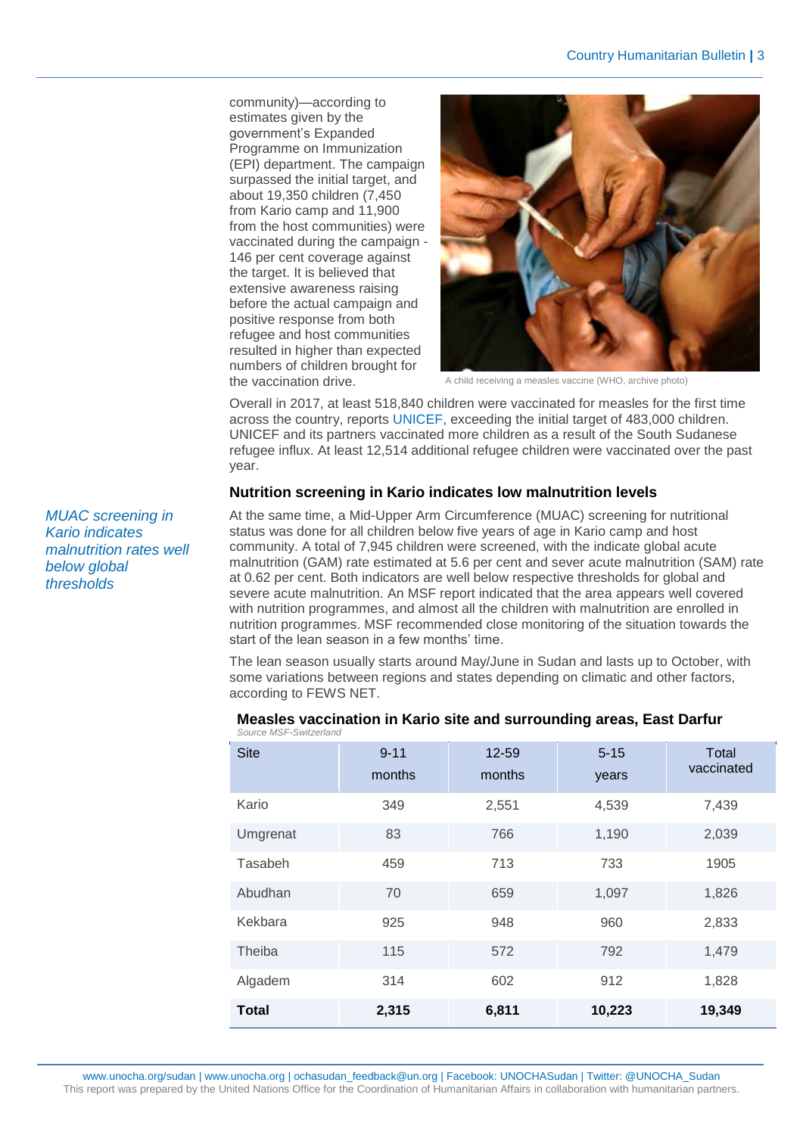community)—according to estimates given by the government's Expanded Programme on Immunization (EPI) department. The campaign surpassed the initial target, and about 19,350 children (7,450 from Kario camp and 11,900 from the host communities) were vaccinated during the campaign - 146 per cent coverage against the target. It is believed that extensive awareness raising before the actual campaign and positive response from both refugee and host communities resulted in higher than expected numbers of children brought for the vaccination drive.



A child receiving a measles vaccine (WHO, archive photo)

Overall in 2017, at least 518,840 children were vaccinated for measles for the first time across the country, reports [UNICEF,](https://reliefweb.int/report/sudan/unicef-sudan-humanitarian-situation-report-december-2017) exceeding the initial target of 483,000 children. UNICEF and its partners vaccinated more children as a result of the South Sudanese refugee influx. At least 12,514 additional refugee children were vaccinated over the past year.

#### **Nutrition screening in Kario indicates low malnutrition levels**

At the same time, a Mid-Upper Arm Circumference (MUAC) screening for nutritional status was done for all children below five years of age in Kario camp and host community. A total of 7,945 children were screened, with the indicate global acute malnutrition (GAM) rate estimated at 5.6 per cent and sever acute malnutrition (SAM) rate at 0.62 per cent. Both indicators are well below respective thresholds for global and severe acute malnutrition. An MSF report indicated that the area appears well covered with nutrition programmes, and almost all the children with malnutrition are enrolled in nutrition programmes. MSF recommended close monitoring of the situation towards the start of the lean season in a few months' time.

The lean season usually starts around May/June in Sudan and lasts up to October, with some variations between regions and states depending on climatic and other factors, according to FEWS NET.

| <b>Site</b>  | $9 - 11$<br>months | 12-59<br>months | $5 - 15$<br>years | Total<br>vaccinated |
|--------------|--------------------|-----------------|-------------------|---------------------|
| Kario        | 349                | 2,551           | 4,539             | 7,439               |
| Umgrenat     | 83                 | 766             | 1,190             | 2,039               |
| Tasabeh      | 459                | 713             | 733               | 1905                |
| Abudhan      | 70                 | 659             | 1,097             | 1,826               |
| Kekbara      | 925                | 948             | 960               | 2,833               |
| Theiba       | 115                | 572             | 792               | 1,479               |
| Algadem      | 314                | 602             | 912               | 1,828               |
| <b>Total</b> | 2,315              | 6,811           | 10,223            | 19,349              |

#### **Measles vaccination in Kario site and surrounding areas, East Darfur** *Source MSF-Switzerland*

www.unocha.org/sudan [| www.unocha.org](http://www.unocha.org/) | ochasudan\_feedback@un.org | Facebook: UNOCHASudan | Twitter: @UNOCHA\_Sudan This report was prepared by the United Nations Office for the Coordination of Humanitarian Affairs in collaboration with humanitarian partners.

*MUAC screening in Kario indicates malnutrition rates well below global thresholds*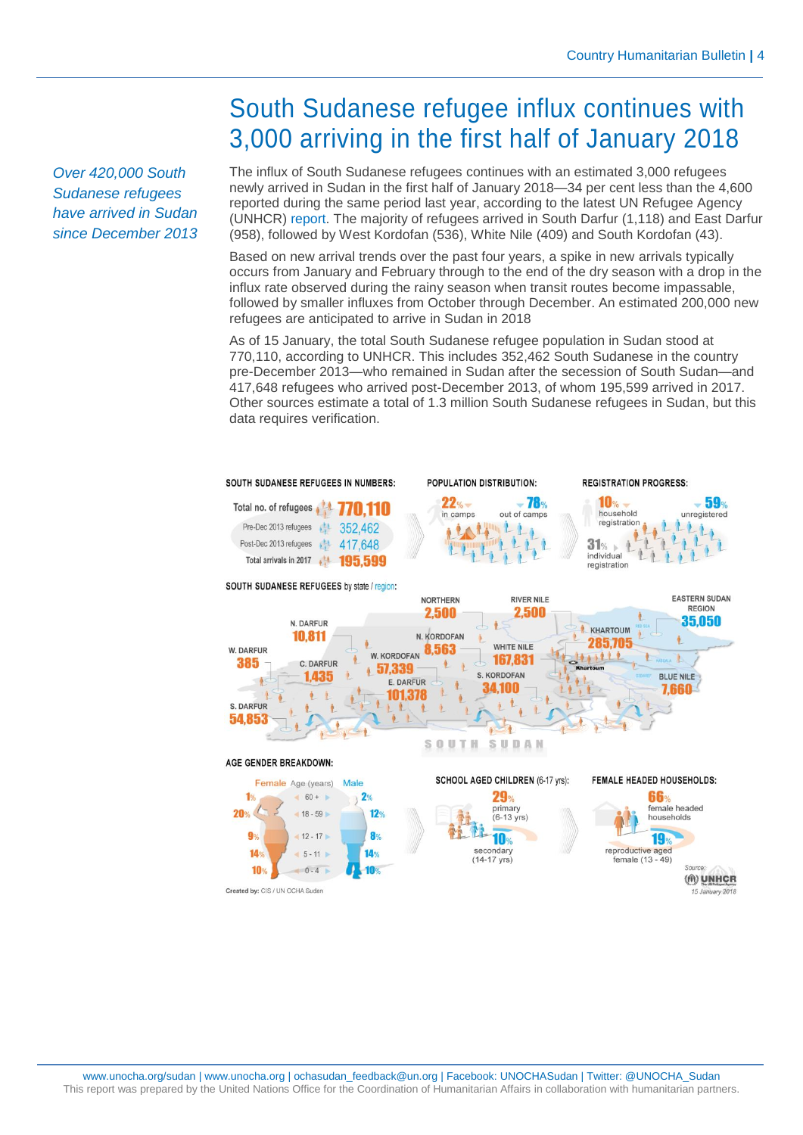*Over 420,000 South Sudanese refugees have arrived in Sudan since December 2013*

## South Sudanese refugee influx continues with 3,000 arriving in the first half of January 2018

The influx of South Sudanese refugees continues with an estimated 3,000 refugees newly arrived in Sudan in the first half of January 2018—34 per cent less than the 4,600 reported during the same period last year, according to the latest UN Refugee Agency (UNHCR) [report.](https://reliefweb.int/sites/reliefweb.int/files/resources/UNHCR%20Sudan%20-%20SSRefEmergency-PopnOPUpdate15Jan2018.pdf) The majority of refugees arrived in South Darfur (1,118) and East Darfur (958), followed by West Kordofan (536), White Nile (409) and South Kordofan (43).

Based on new arrival trends over the past four years, a spike in new arrivals typically occurs from January and February through to the end of the dry season with a drop in the influx rate observed during the rainy season when transit routes become impassable, followed by smaller influxes from October through December. An estimated 200,000 new refugees are anticipated to arrive in Sudan in 2018

As of 15 January, the total South Sudanese refugee population in Sudan stood at 770,110, according to UNHCR. This includes 352,462 South Sudanese in the country pre-December 2013—who remained in Sudan after the secession of South Sudan—and 417,648 refugees who arrived post-December 2013, of whom 195,599 arrived in 2017. Other sources estimate a total of 1.3 million South Sudanese refugees in Sudan, but this data requires verification.